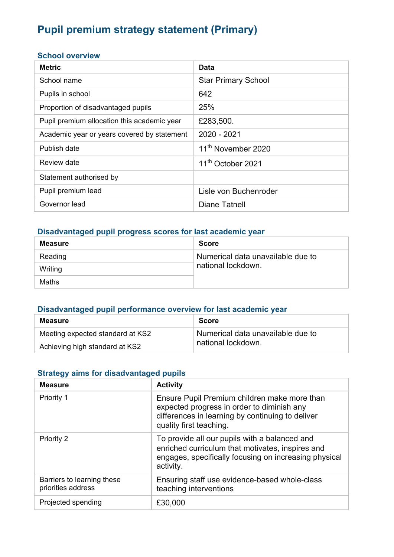# **Pupil premium strategy statement (Primary)**

#### **School overview**

| <b>Metric</b>                               | Data                           |
|---------------------------------------------|--------------------------------|
| School name                                 | <b>Star Primary School</b>     |
| Pupils in school                            | 642                            |
| Proportion of disadvantaged pupils          | 25%                            |
| Pupil premium allocation this academic year | £283,500.                      |
| Academic year or years covered by statement | 2020 - 2021                    |
| Publish date                                | 11 <sup>th</sup> November 2020 |
| Review date                                 | 11 <sup>th</sup> October 2021  |
| Statement authorised by                     |                                |
| Pupil premium lead                          | Lisle von Buchenroder          |
| Governor lead                               | Diane Tatnell                  |

#### **Disadvantaged pupil progress scores for last academic year**

| <b>Measure</b> | <b>Score</b>                      |
|----------------|-----------------------------------|
| Reading        | Numerical data unavailable due to |
| Writing        | national lockdown.                |
| Maths          |                                   |

### **Disadvantaged pupil performance overview for last academic year**

| <b>Measure</b>                   | <b>Score</b>                      |
|----------------------------------|-----------------------------------|
| Meeting expected standard at KS2 | Numerical data unavailable due to |
| Achieving high standard at KS2   | national lockdown.                |

#### **Strategy aims for disadvantaged pupils**

| <b>Measure</b>                                   | <b>Activity</b>                                                                                                                                                           |
|--------------------------------------------------|---------------------------------------------------------------------------------------------------------------------------------------------------------------------------|
| Priority 1                                       | Ensure Pupil Premium children make more than<br>expected progress in order to diminish any<br>differences in learning by continuing to deliver<br>quality first teaching. |
| Priority 2                                       | To provide all our pupils with a balanced and<br>enriched curriculum that motivates, inspires and<br>engages, specifically focusing on increasing physical<br>activity.   |
| Barriers to learning these<br>priorities address | Ensuring staff use evidence-based whole-class<br>teaching interventions                                                                                                   |
| Projected spending                               | £30,000                                                                                                                                                                   |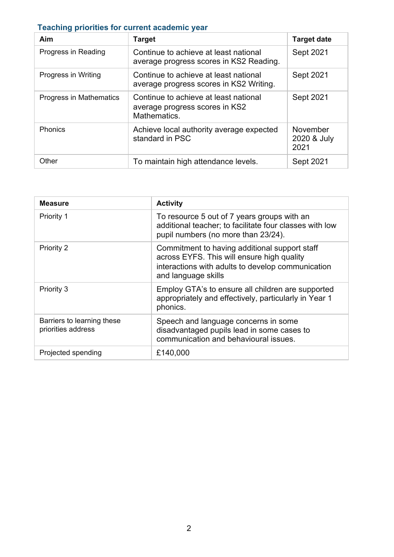## **Teaching priorities for current academic year**

| Aim                            | <b>Target</b>                                                                           | <b>Target date</b>              |
|--------------------------------|-----------------------------------------------------------------------------------------|---------------------------------|
| Progress in Reading            | Continue to achieve at least national<br>average progress scores in KS2 Reading.        | Sept 2021                       |
| Progress in Writing            | Continue to achieve at least national<br>average progress scores in KS2 Writing.        | Sept 2021                       |
| <b>Progress in Mathematics</b> | Continue to achieve at least national<br>average progress scores in KS2<br>Mathematics. | <b>Sept 2021</b>                |
| Phonics                        | Achieve local authority average expected<br>standard in PSC                             | November<br>2020 & July<br>2021 |
| Other                          | To maintain high attendance levels.                                                     | Sept 2021                       |

| <b>Measure</b>                                   | <b>Activity</b>                                                                                                                                                         |
|--------------------------------------------------|-------------------------------------------------------------------------------------------------------------------------------------------------------------------------|
| Priority 1                                       | To resource 5 out of 7 years groups with an<br>additional teacher; to facilitate four classes with low<br>pupil numbers (no more than 23/24).                           |
| Priority 2                                       | Commitment to having additional support staff<br>across EYFS. This will ensure high quality<br>interactions with adults to develop communication<br>and language skills |
| Priority 3                                       | Employ GTA's to ensure all children are supported<br>appropriately and effectively, particularly in Year 1<br>phonics.                                                  |
| Barriers to learning these<br>priorities address | Speech and language concerns in some<br>disadvantaged pupils lead in some cases to<br>communication and behavioural issues.                                             |
| Projected spending                               | £140,000                                                                                                                                                                |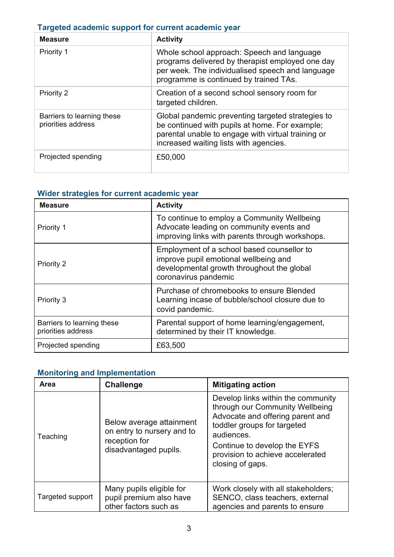|  |  |  | Targeted academic support for current academic year |  |  |  |
|--|--|--|-----------------------------------------------------|--|--|--|
|--|--|--|-----------------------------------------------------|--|--|--|

| <b>Measure</b>                                   | <b>Activity</b>                                                                                                                                                                                     |
|--------------------------------------------------|-----------------------------------------------------------------------------------------------------------------------------------------------------------------------------------------------------|
| Priority 1                                       | Whole school approach: Speech and language<br>programs delivered by therapist employed one day<br>per week. The individualised speech and language<br>programme is continued by trained TAs.        |
| Priority 2                                       | Creation of a second school sensory room for<br>targeted children.                                                                                                                                  |
| Barriers to learning these<br>priorities address | Global pandemic preventing targeted strategies to<br>be continued with pupils at home. For example;<br>parental unable to engage with virtual training or<br>increased waiting lists with agencies. |
| Projected spending                               | £50,000                                                                                                                                                                                             |

#### **Wider strategies for current academic year**

| <b>Measure</b>                                   | <b>Activity</b>                                                                                                                                           |  |
|--------------------------------------------------|-----------------------------------------------------------------------------------------------------------------------------------------------------------|--|
| Priority 1                                       | To continue to employ a Community Wellbeing<br>Advocate leading on community events and<br>improving links with parents through workshops.                |  |
| Priority 2                                       | Employment of a school based counsellor to<br>improve pupil emotional wellbeing and<br>developmental growth throughout the global<br>coronavirus pandemic |  |
| Priority 3                                       | Purchase of chromebooks to ensure Blended<br>Learning incase of bubble/school closure due to<br>covid pandemic.                                           |  |
| Barriers to learning these<br>priorities address | Parental support of home learning/engagement,<br>determined by their IT knowledge.                                                                        |  |
| Projected spending                               | £63,500                                                                                                                                                   |  |

## **Monitoring and Implementation**

| Area             | <b>Challenge</b>                                                                                 | <b>Mitigating action</b>                                                                                                                                                                                                                       |  |
|------------------|--------------------------------------------------------------------------------------------------|------------------------------------------------------------------------------------------------------------------------------------------------------------------------------------------------------------------------------------------------|--|
| Teaching         | Below average attainment<br>on entry to nursery and to<br>reception for<br>disadvantaged pupils. | Develop links within the community<br>through our Community Wellbeing<br>Advocate and offering parent and<br>toddler groups for targeted<br>audiences.<br>Continue to develop the EYFS<br>provision to achieve accelerated<br>closing of gaps. |  |
| Targeted support | Many pupils eligible for<br>pupil premium also have<br>other factors such as                     | Work closely with all stakeholders;<br>SENCO, class teachers, external<br>agencies and parents to ensure                                                                                                                                       |  |